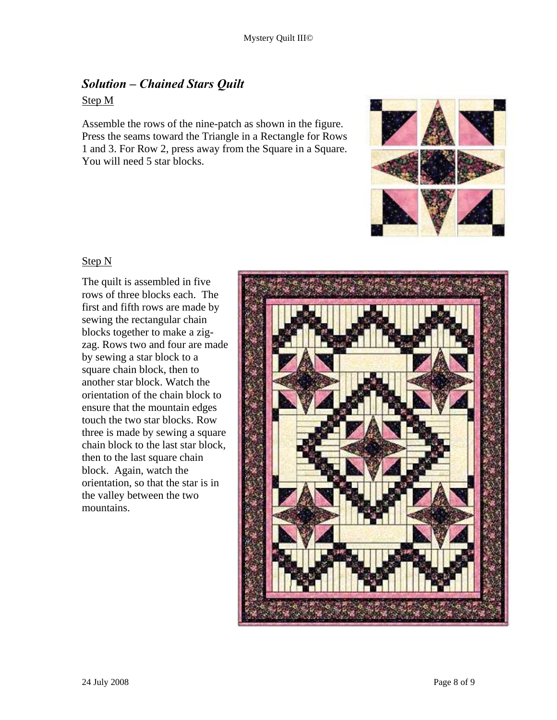# *Solution – Chained Stars Quilt*

# Step M

Assemble the rows of the nine-patch as shown in the figure. Press the seams toward the Triangle in a Rectangle for Rows 1 and 3. For Row 2, press away from the Square in a Square. You will need 5 star blocks.



# Step N

The quilt is assembled in five rows of three blocks each. The first and fifth rows are made by sewing the rectangular chain blocks together to make a zigzag. Rows two and four are made by sewing a star block to a square chain block, then to another star block. Watch the orientation of the chain block to ensure that the mountain edges touch the two star blocks. Row three is made by sewing a square chain block to the last star block, then to the last square chain block. Again, watch the orientation, so that the star is in the valley between the two mountains.